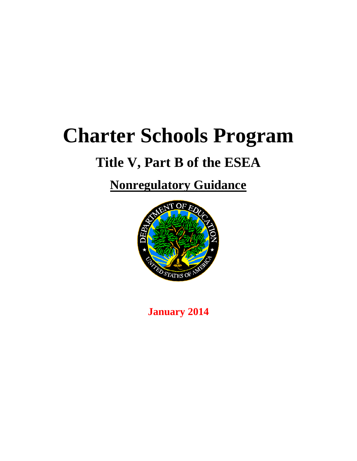# **Charter Schools Program**

# **Title V, Part B of the ESEA**

**Nonregulatory Guidance**



**January 2014**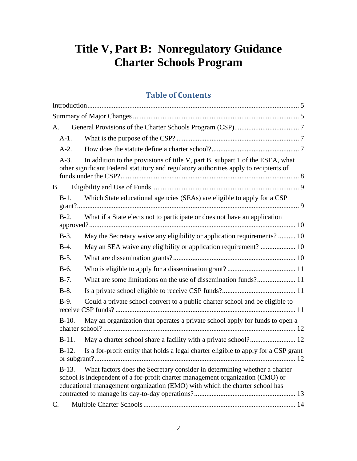## **Title V, Part B: Nonregulatory Guidance Charter Schools Program**

### **Table of Contents**

|    | A.       |                                                                                                                                                                                                                                            |
|----|----------|--------------------------------------------------------------------------------------------------------------------------------------------------------------------------------------------------------------------------------------------|
|    | $A-1$ .  |                                                                                                                                                                                                                                            |
|    | $A-2.$   |                                                                                                                                                                                                                                            |
|    | $A-3$ .  | In addition to the provisions of title V, part B, subpart 1 of the ESEA, what<br>other significant Federal statutory and regulatory authorities apply to recipients of                                                                     |
| В. |          |                                                                                                                                                                                                                                            |
|    | $B-1$ .  | Which State educational agencies (SEAs) are eligible to apply for a CSP                                                                                                                                                                    |
|    | $B-2$ .  | What if a State elects not to participate or does not have an application                                                                                                                                                                  |
|    | $B-3$ .  | May the Secretary waive any eligibility or application requirements?  10                                                                                                                                                                   |
|    | $B-4.$   | May an SEA waive any eligibility or application requirement?  10                                                                                                                                                                           |
|    | $B-5.$   |                                                                                                                                                                                                                                            |
|    | $B-6.$   |                                                                                                                                                                                                                                            |
|    | $B-7.$   | What are some limitations on the use of dissemination funds? 11                                                                                                                                                                            |
|    | $B-8$ .  |                                                                                                                                                                                                                                            |
|    | $B-9$ .  | Could a private school convert to a public charter school and be eligible to                                                                                                                                                               |
|    | $B-10$ . | May an organization that operates a private school apply for funds to open a                                                                                                                                                               |
|    | $B-11.$  |                                                                                                                                                                                                                                            |
|    | $B-12.$  | Is a for-profit entity that holds a legal charter eligible to apply for a CSP grant                                                                                                                                                        |
|    | $B-13.$  | What factors does the Secretary consider in determining whether a charter<br>school is independent of a for-profit charter management organization (CMO) or<br>educational management organization (EMO) with which the charter school has |
| C. |          |                                                                                                                                                                                                                                            |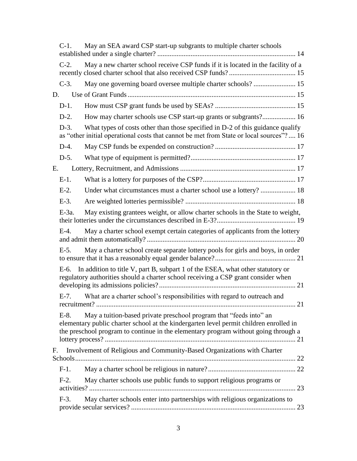|    | $C-1$ .  | May an SEA award CSP start-up subgrants to multiple charter schools                                                                                                                                                                                 |  |
|----|----------|-----------------------------------------------------------------------------------------------------------------------------------------------------------------------------------------------------------------------------------------------------|--|
|    | $C-2$ .  | May a new charter school receive CSP funds if it is located in the facility of a                                                                                                                                                                    |  |
|    | $C-3$ .  | May one governing board oversee multiple charter schools?  15                                                                                                                                                                                       |  |
| D. |          |                                                                                                                                                                                                                                                     |  |
|    | $D-1$ .  |                                                                                                                                                                                                                                                     |  |
|    | $D-2$ .  |                                                                                                                                                                                                                                                     |  |
|    | $D-3$ .  | What types of costs other than those specified in D-2 of this guidance qualify<br>as "other initial operational costs that cannot be met from State or local sources"? 16                                                                           |  |
|    | $D-4.$   |                                                                                                                                                                                                                                                     |  |
|    | $D-5.$   |                                                                                                                                                                                                                                                     |  |
| E. |          |                                                                                                                                                                                                                                                     |  |
|    | $E-1$ .  |                                                                                                                                                                                                                                                     |  |
|    | $E-2$ .  | Under what circumstances must a charter school use a lottery?  18                                                                                                                                                                                   |  |
|    | $E-3$ .  |                                                                                                                                                                                                                                                     |  |
|    | $E-3a$ . | May existing grantees weight, or allow charter schools in the State to weight,                                                                                                                                                                      |  |
|    | $E-4.$   | May a charter school exempt certain categories of applicants from the lottery                                                                                                                                                                       |  |
|    | $E-5$ .  | May a charter school create separate lottery pools for girls and boys, in order                                                                                                                                                                     |  |
|    | $E-6$ .  | In addition to title V, part B, subpart 1 of the ESEA, what other statutory or<br>regulatory authorities should a charter school receiving a CSP grant consider when                                                                                |  |
|    | $E-7$ .  | What are a charter school's responsibilities with regard to outreach and                                                                                                                                                                            |  |
|    | $E-8$ .  | May a tuition-based private preschool program that "feeds into" an<br>elementary public charter school at the kindergarten level permit children enrolled in<br>the preschool program to continue in the elementary program without going through a |  |
| F. |          | Involvement of Religious and Community-Based Organizations with Charter                                                                                                                                                                             |  |
|    | $F-1$ .  |                                                                                                                                                                                                                                                     |  |
|    | $F-2$ .  | May charter schools use public funds to support religious programs or                                                                                                                                                                               |  |
|    |          |                                                                                                                                                                                                                                                     |  |
|    | $F-3$ .  | May charter schools enter into partnerships with religious organizations to                                                                                                                                                                         |  |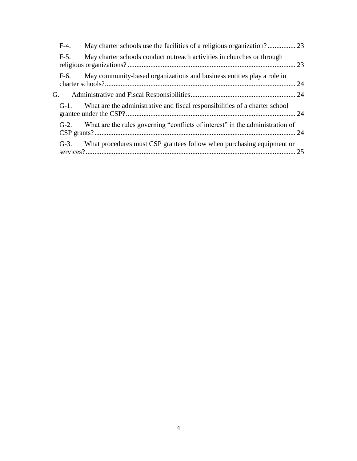| $F-4.$  |                                                                                    |  |
|---------|------------------------------------------------------------------------------------|--|
| $F-5$ . | May charter schools conduct outreach activities in churches or through             |  |
| F-6.    | May community-based organizations and business entities play a role in             |  |
| G.      |                                                                                    |  |
| $G-1$ . | What are the administrative and fiscal responsibilities of a charter school        |  |
|         | G-2. What are the rules governing "conflicts of interest" in the administration of |  |
| $G-3$ . | What procedures must CSP grantees follow when purchasing equipment or              |  |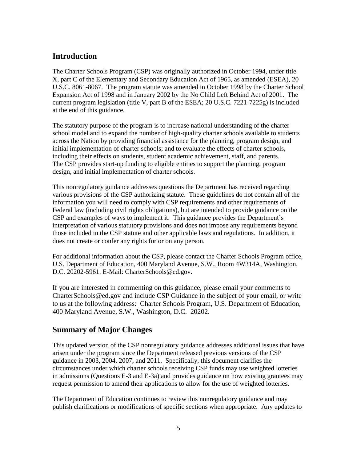#### <span id="page-4-0"></span>**Introduction**

The Charter Schools Program (CSP) was originally authorized in October 1994, under title X, part C of the Elementary and Secondary Education Act of 1965, as amended (ESEA), 20 U.S.C. 8061-8067. The program statute was amended in October 1998 by the Charter School Expansion Act of 1998 and in January 2002 by the No Child Left Behind Act of 2001. The current program legislation (title V, part B of the ESEA; 20 U.S.C. 7221-7225g) is included at the end of this guidance.

The statutory purpose of the program is to increase national understanding of the charter school model and to expand the number of high-quality charter schools available to students across the Nation by providing financial assistance for the planning, program design, and initial implementation of charter schools; and to evaluate the effects of charter schools, including their effects on students, student academic achievement, staff, and parents. The CSP provides start-up funding to eligible entities to support the planning, program design, and initial implementation of charter schools.

This nonregulatory guidance addresses questions the Department has received regarding various provisions of the CSP authorizing statute. These guidelines do not contain all of the information you will need to comply with CSP requirements and other requirements of Federal law (including civil rights obligations), but are intended to provide guidance on the CSP and examples of ways to implement it. This guidance provides the Department's interpretation of various statutory provisions and does not impose any requirements beyond those included in the CSP statute and other applicable laws and regulations. In addition, it does not create or confer any rights for or on any person.

For additional information about the CSP, please contact the Charter Schools Program office, U.S. Department of Education, 400 Maryland Avenue, S.W., Room 4W314A, Washington, D.C. 20202-5961. E-Mail: CharterSchools@ed.gov.

If you are interested in commenting on this guidance, please email your comments to [CharterSchools@ed.gov](mailto:charterschools@ed.gov) and include CSP Guidance in the subject of your email, or write to us at the following address: Charter Schools Program, U.S. Department of Education, 400 Maryland Avenue, S.W., Washington, D.C. 20202.

#### <span id="page-4-1"></span>**Summary of Major Changes**

This updated version of the CSP nonregulatory guidance addresses additional issues that have arisen under the program since the Department released previous versions of the CSP guidance in 2003, 2004, 2007, and 2011. Specifically, this document clarifies the circumstances under which charter schools receiving CSP funds may use weighted lotteries in admissions (Questions E-3 and E-3a) and provides guidance on how existing grantees may request permission to amend their applications to allow for the use of weighted lotteries.

The Department of Education continues to review this nonregulatory guidance and may publish clarifications or modifications of specific sections when appropriate. Any updates to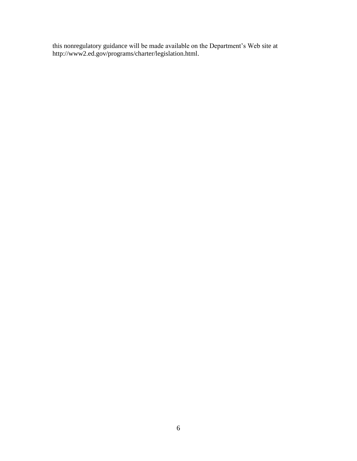this nonregulatory guidance will be made available on the Department's Web site at [http://www2.ed.gov/programs/charter/legislation.html.](http://www2.ed.gov/programs/charter/legislation.html)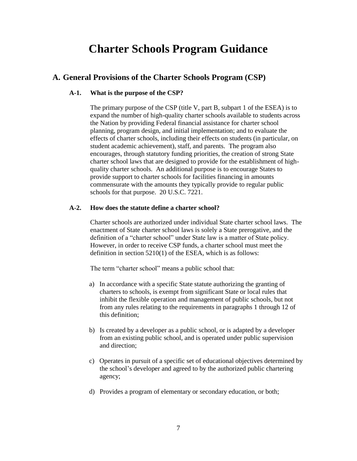### **Charter Schools Program Guidance**

#### <span id="page-6-1"></span><span id="page-6-0"></span>**A. General Provisions of the Charter Schools Program (CSP)**

#### **A-1. What is the purpose of the CSP?**

The primary purpose of the CSP (title V, part B, subpart 1 of the ESEA) is to expand the number of high-quality charter schools available to students across the Nation by providing Federal financial assistance for charter school planning, program design, and initial implementation; and to evaluate the effects of charter schools, including their effects on students (in particular, on student academic achievement), staff, and parents. The program also encourages, through statutory funding priorities, the creation of strong State charter school laws that are designed to provide for the establishment of highquality charter schools. An additional purpose is to encourage States to provide support to charter schools for facilities financing in amounts commensurate with the amounts they typically provide to regular public schools for that purpose. 20 U.S.C. 7221.

#### <span id="page-6-2"></span>**A-2. How does the statute define a charter school?**

Charter schools are authorized under individual State charter school laws. The enactment of State charter school laws is solely a State prerogative, and the definition of a "charter school" under State law is a matter of State policy. However, in order to receive CSP funds, a charter school must meet the definition in section 5210(1) of the ESEA, which is as follows:

The term "charter school" means a public school that:

- a) In accordance with a specific State statute authorizing the granting of charters to schools, is exempt from significant State or local rules that inhibit the flexible operation and management of public schools, but not from any rules relating to the requirements in paragraphs 1 through 12 of this definition;
- b) Is created by a developer as a public school, or is adapted by a developer from an existing public school, and is operated under public supervision and direction;
- c) Operates in pursuit of a specific set of educational objectives determined by the school's developer and agreed to by the authorized public chartering agency;
- d) Provides a program of elementary or secondary education, or both;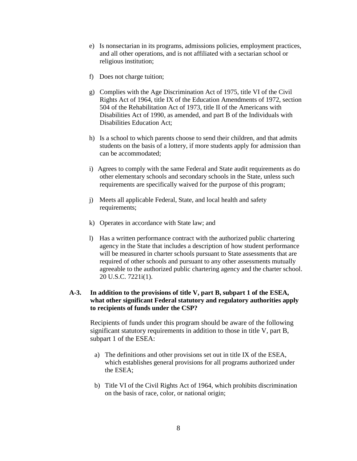- e) Is nonsectarian in its programs, admissions policies, employment practices, and all other operations, and is not affiliated with a sectarian school or religious institution;
- f) Does not charge tuition;
- g) Complies with the Age Discrimination Act of 1975, title VI of the Civil Rights Act of 1964, title IX of the Education Amendments of 1972, section 504 of the Rehabilitation Act of 1973, title II of the Americans with Disabilities Act of 1990, as amended, and part B of the Individuals with Disabilities Education Act;
- h) Is a school to which parents choose to send their children, and that admits students on the basis of a lottery, if more students apply for admission than can be accommodated;
- i) Agrees to comply with the same Federal and State audit requirements as do other elementary schools and secondary schools in the State, unless such requirements are specifically waived for the purpose of this program;
- j) Meets all applicable Federal, State, and local health and safety requirements;
- k) Operates in accordance with State law; and
- l) Has a written performance contract with the authorized public chartering agency in the State that includes a description of how student performance will be measured in charter schools pursuant to State assessments that are required of other schools and pursuant to any other assessments mutually agreeable to the authorized public chartering agency and the charter school. 20 U.S.C. 7221i(1).

#### <span id="page-7-0"></span>**A-3. In addition to the provisions of title V, part B, subpart 1 of the ESEA, what other significant Federal statutory and regulatory authorities apply to recipients of funds under the CSP?**

Recipients of funds under this program should be aware of the following significant statutory requirements in addition to those in title V, part B, subpart 1 of the ESEA:

- a) The definitions and other provisions set out in title IX of the ESEA, which establishes general provisions for all programs authorized under the ESEA;
- b) Title VI of the Civil Rights Act of 1964, which prohibits discrimination on the basis of race, color, or national origin;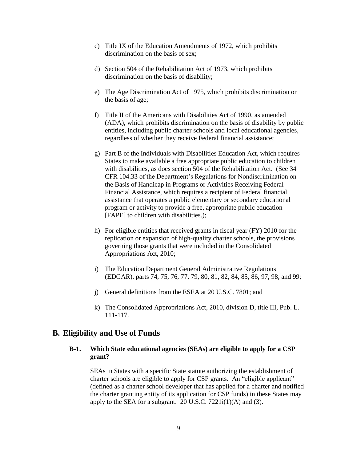- c) Title IX of the Education Amendments of 1972, which prohibits discrimination on the basis of sex;
- d) Section 504 of the Rehabilitation Act of 1973, which prohibits discrimination on the basis of disability;
- e) The Age Discrimination Act of 1975, which prohibits discrimination on the basis of age;
- f) Title II of the Americans with Disabilities Act of 1990, as amended (ADA), which prohibits discrimination on the basis of disability by public entities, including public charter schools and local educational agencies, regardless of whether they receive Federal financial assistance;
- g) Part B of the Individuals with Disabilities Education Act, which requires States to make available a free appropriate public education to children with disabilities, as does section 504 of the Rehabilitation Act. (See 34 CFR 104.33 of the Department's Regulations for Nondiscrimination on the Basis of Handicap in Programs or Activities Receiving Federal Financial Assistance, which requires a recipient of Federal financial assistance that operates a public elementary or secondary educational program or activity to provide a free, appropriate public education [FAPE] to children with disabilities.);
- h) For eligible entities that received grants in fiscal year (FY) 2010 for the replication or expansion of high-quality charter schools, the provisions governing those grants that were included in the Consolidated Appropriations Act, 2010;
- i) The Education Department General Administrative Regulations (EDGAR), parts 74, 75, 76, 77, 79, 80, 81, 82, 84, 85, 86, 97, 98, and 99;
- j) General definitions from the ESEA at 20 U.S.C. 7801; and
- k) The Consolidated Appropriations Act, 2010, division D, title III, Pub. L. 111-117.

#### <span id="page-8-1"></span><span id="page-8-0"></span>**B. Eligibility and Use of Funds**

#### **B-1. Which State educational agencies (SEAs) are eligible to apply for a CSP grant?**

SEAs in States with a specific State statute authorizing the establishment of charter schools are eligible to apply for CSP grants. An "eligible applicant" (defined as a charter school developer that has applied for a charter and notified the charter granting entity of its application for CSP funds) in these States may apply to the SEA for a subgrant.  $20$  U.S.C.  $7221i(1)(A)$  and (3).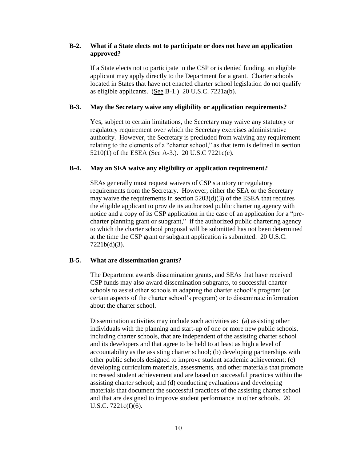#### <span id="page-9-0"></span>**B-2. What if a State elects not to participate or does not have an application approved?**

If a State elects not to participate in the CSP or is denied funding, an eligible applicant may apply directly to the Department for a grant. Charter schools located in States that have not enacted charter school legislation do not qualify as eligible applicants.  $(See B-1.)$  20 U.S.C. 7221a(b).

#### <span id="page-9-1"></span>**B-3. May the Secretary waive any eligibility or application requirements?**

Yes, subject to certain limitations, the Secretary may waive any statutory or regulatory requirement over which the Secretary exercises administrative authority. However, the Secretary is precluded from waiving any requirement relating to the elements of a "charter school," as that term is defined in section 5210(1) of the ESEA (See A-3.). 20 U.S.C 7221c(e).

#### <span id="page-9-2"></span>**B-4. May an SEA waive any eligibility or application requirement?**

SEAs generally must request waivers of CSP statutory or regulatory requirements from the Secretary. However, either the SEA or the Secretary may waive the requirements in section 5203(d)(3) of the ESEA that requires the eligible applicant to provide its authorized public chartering agency with notice and a copy of its CSP application in the case of an application for a "precharter planning grant or subgrant," if the authorized public chartering agency to which the charter school proposal will be submitted has not been determined at the time the CSP grant or subgrant application is submitted. 20 U.S.C. 7221b(d)(3).

#### <span id="page-9-3"></span>**B-5. What are dissemination grants?**

The Department awards dissemination grants, and SEAs that have received CSP funds may also award dissemination subgrants, to successful charter schools to assist other schools in adapting the charter school's program (or certain aspects of the charter school's program) or to disseminate information about the charter school.

Dissemination activities may include such activities as: (a) assisting other individuals with the planning and start-up of one or more new public schools, including charter schools, that are independent of the assisting charter school and its developers and that agree to be held to at least as high a level of accountability as the assisting charter school; (b) developing partnerships with other public schools designed to improve student academic achievement; (c) developing curriculum materials, assessments, and other materials that promote increased student achievement and are based on successful practices within the assisting charter school; and (d) conducting evaluations and developing materials that document the successful practices of the assisting charter school and that are designed to improve student performance in other schools. 20 U.S.C. 7221c(f)(6).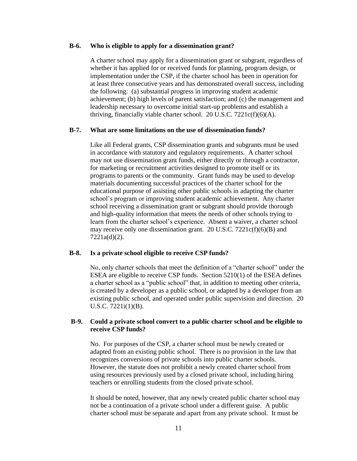#### <span id="page-10-0"></span>**B-6. Who is eligible to apply for a dissemination grant?**

A charter school may apply for a dissemination grant or subgrant, regardless of whether it has applied for or received funds for planning, program design, or implementation under the CSP, if the charter school has been in operation for at least three consecutive years and has demonstrated overall success, including the following: (a) substantial progress in improving student academic achievement; (b) high levels of parent satisfaction; and (c) the management and leadership necessary to overcome initial start-up problems and establish a thriving, financially viable charter school. 20 U.S.C.  $7221c(f)(6)(A)$ .

#### <span id="page-10-1"></span>**B-7. What are some limitations on the use of dissemination funds?**

Like all Federal grants, CSP dissemination grants and subgrants must be used in accordance with statutory and regulatory requirements. A charter school may not use dissemination grant funds, either directly or through a contractor, for marketing or recruitment activities designed to promote itself or its programs to parents or the community. Grant funds may be used to develop materials documenting successful practices of the charter school for the educational purpose of assisting other public schools in adapting the charter school's program or improving student academic achievement. Any charter school receiving a dissemination grant or subgrant should provide thorough and high-quality information that meets the needs of other schools trying to learn from the charter school's experience. Absent a waiver, a charter school may receive only one dissemination grant. 20 U.S.C.  $7221c(f)(6)(B)$  and 7221a(d)(2).

#### <span id="page-10-2"></span>**B-8. Is a private school eligible to receive CSP funds?**

No, only charter schools that meet the definition of a "charter school" under the ESEA are eligible to receive CSP funds. Section 5210(1) of the ESEA defines a charter school as a "public school" that, in addition to meeting other criteria, is created by a developer as a public school, or adapted by a developer from an existing public school, and operated under public supervision and direction. 20 U.S.C. 7221i(1)(B).

#### <span id="page-10-3"></span>**B-9. Could a private school convert to a public charter school and be eligible to receive CSP funds?**

No. For purposes of the CSP, a charter school must be newly created or adapted from an existing public school. There is no provision in the law that recognizes conversions of private schools into public charter schools. However, the statute does not prohibit a newly created charter school from using resources previously used by a closed private school, including hiring teachers or enrolling students from the closed private school.

It should be noted, however, that any newly created public charter school may not be a continuation of a private school under a different guise. A public charter school must be separate and apart from any private school. It must be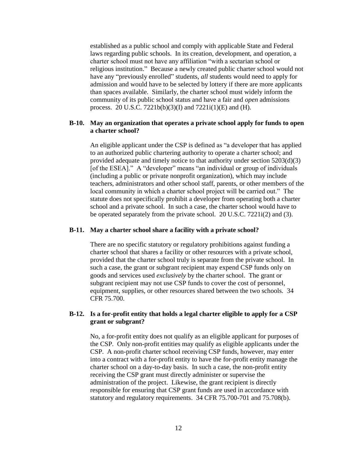established as a public school and comply with applicable State and Federal laws regarding public schools. In its creation, development, and operation, a charter school must not have any affiliation "with a sectarian school or religious institution." Because a newly created public charter school would not have any "previously enrolled" students, *all* students would need to apply for admission and would have to be selected by lottery if there are more applicants than spaces available. Similarly, the charter school must widely inform the community of its public school status and have a fair and *open* admissions process. 20 U.S.C.  $7221b(b)(3)(I)$  and  $7221i(1)(E)$  and (H).

#### <span id="page-11-0"></span>**B-10. May an organization that operates a private school apply for funds to open a charter school?**

An eligible applicant under the CSP is defined as "a developer that has applied to an authorized public chartering authority to operate a charter school; and provided adequate and timely notice to that authority under section 5203(d)(3) [of the ESEA]." A "developer" means "an individual or group of individuals (including a public or private nonprofit organization), which may include teachers, administrators and other school staff, parents, or other members of the local community in which a charter school project will be carried out." The statute does not specifically prohibit a developer from operating both a charter school and a private school. In such a case, the charter school would have to be operated separately from the private school. 20 U.S.C. 7221i(2) and (3).

#### <span id="page-11-1"></span>**B-11. May a charter school share a facility with a private school?**

There are no specific statutory or regulatory prohibitions against funding a charter school that shares a facility or other resources with a private school, provided that the charter school truly is separate from the private school. In such a case, the grant or subgrant recipient may expend CSP funds only on goods and services used *exclusively* by the charter school. The grant or subgrant recipient may not use CSP funds to cover the cost of personnel, equipment, supplies, or other resources shared between the two schools. 34 CFR 75.700.

#### <span id="page-11-2"></span>**B-12. Is a for-profit entity that holds a legal charter eligible to apply for a CSP grant or subgrant?**

No, a for-profit entity does not qualify as an eligible applicant for purposes of the CSP. Only non-profit entities may qualify as eligible applicants under the CSP. A non-profit charter school receiving CSP funds, however, may enter into a contract with a for-profit entity to have the for-profit entity manage the charter school on a day-to-day basis. In such a case, the non-profit entity receiving the CSP grant must directly administer or supervise the administration of the project. Likewise, the grant recipient is directly responsible for ensuring that CSP grant funds are used in accordance with statutory and regulatory requirements. 34 CFR 75.700-701 and 75.708(b).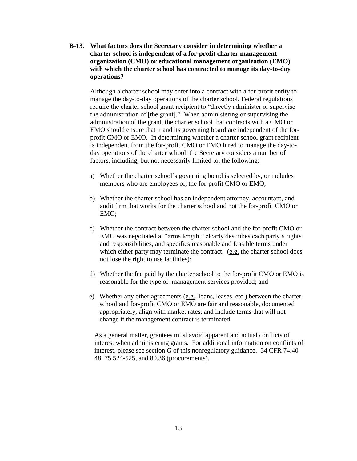<span id="page-12-0"></span>**B-13. What factors does the Secretary consider in determining whether a charter school is independent of a for-profit charter management organization (CMO) or educational management organization (EMO) with which the charter school has contracted to manage its day-to-day operations?**

Although a charter school may enter into a contract with a for-profit entity to manage the day-to-day operations of the charter school, Federal regulations require the charter school grant recipient to "directly administer or supervise the administration of [the grant]." When administering or supervising the administration of the grant, the charter school that contracts with a CMO or EMO should ensure that it and its governing board are independent of the forprofit CMO or EMO. In determining whether a charter school grant recipient is independent from the for-profit CMO or EMO hired to manage the day-today operations of the charter school, the Secretary considers a number of factors, including, but not necessarily limited to, the following:

- a) Whether the charter school's governing board is selected by, or includes members who are employees of, the for-profit CMO or EMO;
- b) Whether the charter school has an independent attorney, accountant, and audit firm that works for the charter school and not the for-profit CMO or EMO;
- c) Whether the contract between the charter school and the for-profit CMO or EMO was negotiated at "arms length," clearly describes each party's rights and responsibilities, and specifies reasonable and feasible terms under which either party may terminate the contract. (e.g. the charter school does not lose the right to use facilities);
- d) Whether the fee paid by the charter school to the for-profit CMO or EMO is reasonable for the type of management services provided; and
- e) Whether any other agreements (e.g., loans, leases, etc.) between the charter school and for-profit CMO or EMO are fair and reasonable, documented appropriately, align with market rates, and include terms that will not change if the management contract is terminated.

As a general matter, grantees must avoid apparent and actual conflicts of interest when administering grants. For additional information on conflicts of interest, please see section G of this nonregulatory guidance. 34 CFR 74.40- 48, 75.524-525, and 80.36 (procurements).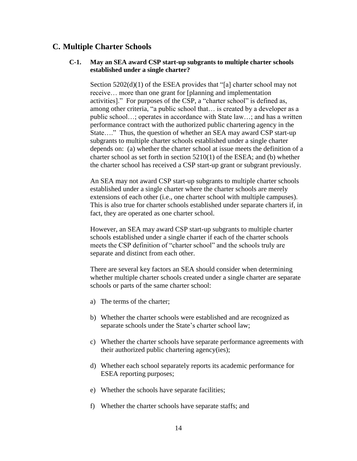#### <span id="page-13-1"></span><span id="page-13-0"></span>**C. Multiple Charter Schools**

#### **C-1. May an SEA award CSP start-up subgrants to multiple charter schools established under a single charter?**

Section 5202(d)(1) of the ESEA provides that "[a] charter school may not receive… more than one grant for [planning and implementation activities]." For purposes of the CSP, a "charter school" is defined as, among other criteria, "a public school that… is created by a developer as a public school…; operates in accordance with State law…; and has a written performance contract with the authorized public chartering agency in the State...." Thus, the question of whether an SEA may award CSP start-up subgrants to multiple charter schools established under a single charter depends on: (a) whether the charter school at issue meets the definition of a charter school as set forth in section 5210(1) of the ESEA; and (b) whether the charter school has received a CSP start-up grant or subgrant previously.

An SEA may not award CSP start-up subgrants to multiple charter schools established under a single charter where the charter schools are merely extensions of each other (i.e., one charter school with multiple campuses). This is also true for charter schools established under separate charters if, in fact, they are operated as one charter school.

However, an SEA may award CSP start-up subgrants to multiple charter schools established under a single charter if each of the charter schools meets the CSP definition of "charter school" and the schools truly are separate and distinct from each other.

There are several key factors an SEA should consider when determining whether multiple charter schools created under a single charter are separate schools or parts of the same charter school:

- a) The terms of the charter;
- b) Whether the charter schools were established and are recognized as separate schools under the State's charter school law;
- c) Whether the charter schools have separate performance agreements with their authorized public chartering agency(ies);
- d) Whether each school separately reports its academic performance for ESEA reporting purposes;
- e) Whether the schools have separate facilities;
- f) Whether the charter schools have separate staffs; and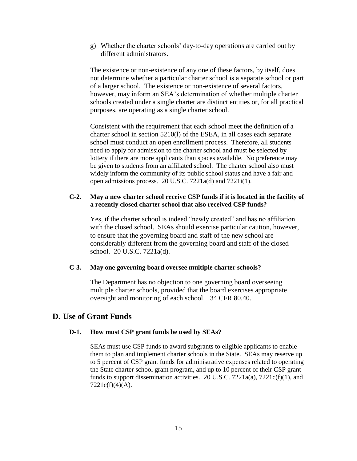g) Whether the charter schools' day-to-day operations are carried out by different administrators.

The existence or non-existence of any one of these factors, by itself, does not determine whether a particular charter school is a separate school or part of a larger school. The existence or non-existence of several factors, however, may inform an SEA's determination of whether multiple charter schools created under a single charter are distinct entities or, for all practical purposes, are operating as a single charter school.

Consistent with the requirement that each school meet the definition of a charter school in section 5210(l) of the ESEA, in all cases each separate school must conduct an open enrollment process. Therefore, all students need to apply for admission to the charter school and must be selected by lottery if there are more applicants than spaces available. No preference may be given to students from an affiliated school. The charter school also must widely inform the community of its public school status and have a fair and open admissions process. 20 U.S.C. 7221a(d) and 7221i(1).

#### <span id="page-14-0"></span>**C-2. May a new charter school receive CSP funds if it is located in the facility of a recently closed charter school that also received CSP funds?**

Yes, if the charter school is indeed "newly created" and has no affiliation with the closed school. SEAs should exercise particular caution, however, to ensure that the governing board and staff of the new school are considerably different from the governing board and staff of the closed school. 20 U.S.C. 7221a(d).

#### <span id="page-14-1"></span>**C-3. May one governing board oversee multiple charter schools?**

The Department has no objection to one governing board overseeing multiple charter schools, provided that the board exercises appropriate oversight and monitoring of each school. 34 CFR 80.40.

#### <span id="page-14-3"></span><span id="page-14-2"></span>**D. Use of Grant Funds**

#### **D-1. How must CSP grant funds be used by SEAs?**

SEAs must use CSP funds to award subgrants to eligible applicants to enable them to plan and implement charter schools in the State. SEAs may reserve up to 5 percent of CSP grant funds for administrative expenses related to operating the State charter school grant program, and up to 10 percent of their CSP grant funds to support dissemination activities. 20 U.S.C.  $7221a(a)$ ,  $7221c(f)(1)$ , and  $7221c(f)(4)(A)$ .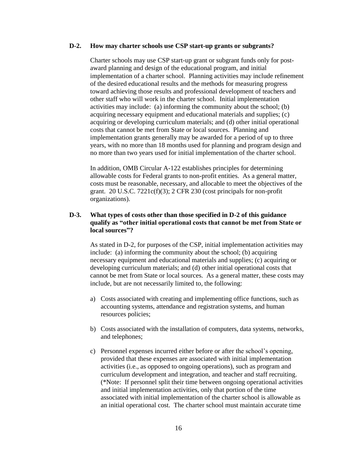#### <span id="page-15-0"></span>**D-2. How may charter schools use CSP start-up grants or subgrants?**

Charter schools may use CSP start-up grant or subgrant funds only for postaward planning and design of the educational program, and initial implementation of a charter school. Planning activities may include refinement of the desired educational results and the methods for measuring progress toward achieving those results and professional development of teachers and other staff who will work in the charter school. Initial implementation activities may include: (a) informing the community about the school; (b) acquiring necessary equipment and educational materials and supplies; (c) acquiring or developing curriculum materials; and (d) other initial operational costs that cannot be met from State or local sources. Planning and implementation grants generally may be awarded for a period of up to three years, with no more than 18 months used for planning and program design and no more than two years used for initial implementation of the charter school.

In addition, OMB Circular A-122 establishes principles for determining allowable costs for Federal grants to non-profit entities. As a general matter, costs must be reasonable, necessary, and allocable to meet the objectives of the grant. 20 U.S.C.  $7221c(f)(3)$ ; 2 CFR 230 (cost principals for non-profit organizations).

#### <span id="page-15-1"></span>**D-3. What types of costs other than those specified in D-2 of this guidance qualify as "other initial operational costs that cannot be met from State or local sources"?**

As stated in D-2, for purposes of the CSP, initial implementation activities may include: (a) informing the community about the school; (b) acquiring necessary equipment and educational materials and supplies; (c) acquiring or developing curriculum materials; and (d) other initial operational costs that cannot be met from State or local sources. As a general matter, these costs may include, but are not necessarily limited to, the following:

- a) Costs associated with creating and implementing office functions, such as accounting systems, attendance and registration systems, and human resources policies;
- b) Costs associated with the installation of computers, data systems, networks, and telephones;
- c) Personnel expenses incurred either before or after the school's opening, provided that these expenses are associated with initial implementation activities (i.e., as opposed to ongoing operations), such as program and curriculum development and integration, and teacher and staff recruiting. (\*Note: If personnel split their time between ongoing operational activities and initial implementation activities, only that portion of the time associated with initial implementation of the charter school is allowable as an initial operational cost. The charter school must maintain accurate time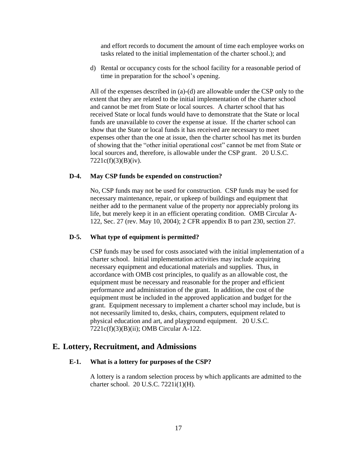and effort records to document the amount of time each employee works on tasks related to the initial implementation of the charter school.); and

d) Rental or occupancy costs for the school facility for a reasonable period of time in preparation for the school's opening.

All of the expenses described in (a)-(d) are allowable under the CSP only to the extent that they are related to the initial implementation of the charter school and cannot be met from State or local sources. A charter school that has received State or local funds would have to demonstrate that the State or local funds are unavailable to cover the expense at issue. If the charter school can show that the State or local funds it has received are necessary to meet expenses other than the one at issue, then the charter school has met its burden of showing that the "other initial operational cost" cannot be met from State or local sources and, therefore, is allowable under the CSP grant. 20 U.S.C.  $7221c(f)(3)(B)(iv).$ 

#### <span id="page-16-0"></span>**D-4. May CSP funds be expended on construction?**

No, CSP funds may not be used for construction. CSP funds may be used for necessary maintenance, repair, or upkeep of buildings and equipment that neither add to the permanent value of the property nor appreciably prolong its life, but merely keep it in an efficient operating condition. OMB Circular A-122, Sec. 27 (rev. May 10, 2004); 2 CFR appendix B to part 230, section 27.

#### <span id="page-16-1"></span>**D-5. What type of equipment is permitted?**

CSP funds may be used for costs associated with the initial implementation of a charter school. Initial implementation activities may include acquiring necessary equipment and educational materials and supplies. Thus, in accordance with OMB cost principles, to qualify as an allowable cost, the equipment must be necessary and reasonable for the proper and efficient performance and administration of the grant. In addition, the cost of the equipment must be included in the approved application and budget for the grant. Equipment necessary to implement a charter school may include, but is not necessarily limited to, desks, chairs, computers, equipment related to physical education and art, and playground equipment. 20 U.S.C. 7221c(f)(3)(B)(ii); OMB Circular A-122.

#### <span id="page-16-3"></span><span id="page-16-2"></span>**E. Lottery, Recruitment, and Admissions**

#### **E-1. What is a lottery for purposes of the CSP?**

A lottery is a random selection process by which applicants are admitted to the charter school. 20 U.S.C. 7221i(1)(H).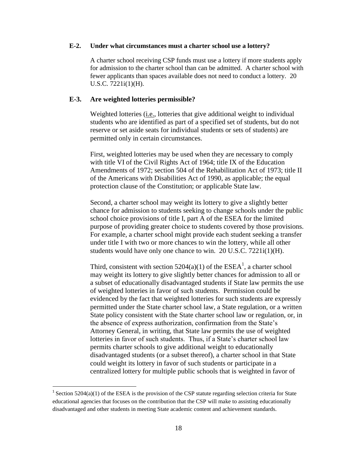#### <span id="page-17-0"></span>**E-2. Under what circumstances must a charter school use a lottery?**

A charter school receiving CSP funds must use a lottery if more students apply for admission to the charter school than can be admitted. A charter school with fewer applicants than spaces available does not need to conduct a lottery. 20 U.S.C. 7221i(1)(H).

#### <span id="page-17-1"></span>**E-3. Are weighted lotteries permissible?**

Weighted lotteries (*i.e.*, lotteries that give additional weight to individual students who are identified as part of a specified set of students, but do not reserve or set aside seats for individual students or sets of students) are permitted only in certain circumstances.

First, weighted lotteries may be used when they are necessary to comply with title VI of the Civil Rights Act of 1964; title IX of the Education Amendments of 1972; section 504 of the Rehabilitation Act of 1973; title II of the Americans with Disabilities Act of 1990, as applicable; the equal protection clause of the Constitution; or applicable State law.

Second, a charter school may weight its lottery to give a slightly better chance for admission to students seeking to change schools under the public school choice provisions of title I, part A of the ESEA for the limited purpose of providing greater choice to students covered by those provisions. For example, a charter school might provide each student seeking a transfer under title I with two or more chances to win the lottery, while all other students would have only one chance to win.  $20$  U.S.C.  $7221i(1)(H)$ .

Third, consistent with section  $5204(a)(1)$  of the ESEA<sup>1</sup>, a charter school may weight its lottery to give slightly better chances for admission to all or a subset of educationally disadvantaged students if State law permits the use of weighted lotteries in favor of such students. Permission could be evidenced by the fact that weighted lotteries for such students are expressly permitted under the State charter school law, a State regulation, or a written State policy consistent with the State charter school law or regulation, or, in the absence of express authorization, confirmation from the State's Attorney General, in writing, that State law permits the use of weighted lotteries in favor of such students. Thus, if a State's charter school law permits charter schools to give additional weight to educationally disadvantaged students (or a subset thereof), a charter school in that State could weight its lottery in favor of such students or participate in a centralized lottery for multiple public schools that is weighted in favor of

 $\overline{a}$ 

<sup>&</sup>lt;sup>1</sup> Section 5204(a)(1) of the ESEA is the provision of the CSP statute regarding selection criteria for State educational agencies that focuses on the contribution that the CSP will make to assisting educationally disadvantaged and other students in meeting State academic content and achievement standards.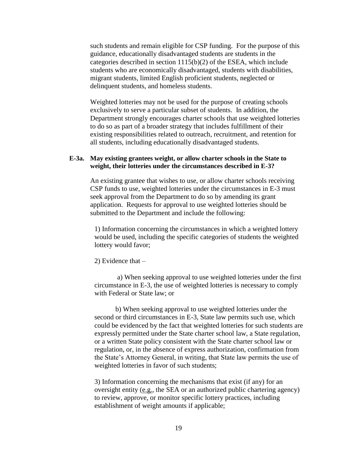such students and remain eligible for CSP funding. For the purpose of this guidance, educationally disadvantaged students are students in the categories described in section 1115(b)(2) of the ESEA, which include students who are economically disadvantaged, students with disabilities, migrant students, limited English proficient students, neglected or delinquent students, and homeless students.

Weighted lotteries may not be used for the purpose of creating schools exclusively to serve a particular subset of students. In addition, the Department strongly encourages charter schools that use weighted lotteries to do so as part of a broader strategy that includes fulfillment of their existing responsibilities related to outreach, recruitment, and retention for all students, including educationally disadvantaged students.

#### <span id="page-18-0"></span>**E-3a. May existing grantees weight, or allow charter schools in the State to weight, their lotteries under the circumstances described in E-3?**

An existing grantee that wishes to use, or allow charter schools receiving CSP funds to use, weighted lotteries under the circumstances in E-3 must seek approval from the Department to do so by amending its grant application. Requests for approval to use weighted lotteries should be submitted to the Department and include the following:

1) Information concerning the circumstances in which a weighted lottery would be used, including the specific categories of students the weighted lottery would favor;

#### 2) Evidence that –

a) When seeking approval to use weighted lotteries under the first circumstance in E-3, the use of weighted lotteries is necessary to comply with Federal or State law; or

b) When seeking approval to use weighted lotteries under the second or third circumstances in E-3, State law permits such use, which could be evidenced by the fact that weighted lotteries for such students are expressly permitted under the State charter school law, a State regulation, or a written State policy consistent with the State charter school law or regulation, or, in the absence of express authorization, confirmation from the State's Attorney General, in writing, that State law permits the use of weighted lotteries in favor of such students;

3) Information concerning the mechanisms that exist (if any) for an oversight entity (e.g., the SEA or an authorized public chartering agency) to review, approve, or monitor specific lottery practices, including establishment of weight amounts if applicable;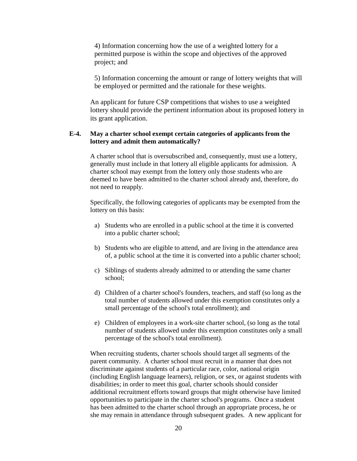4) Information concerning how the use of a weighted lottery for a permitted purpose is within the scope and objectives of the approved project; and

5) Information concerning the amount or range of lottery weights that will be employed or permitted and the rationale for these weights.

An applicant for future CSP competitions that wishes to use a weighted lottery should provide the pertinent information about its proposed lottery in its grant application.

#### <span id="page-19-0"></span>**E-4. May a charter school exempt certain categories of applicants from the lottery and admit them automatically?**

A charter school that is oversubscribed and, consequently, must use a lottery, generally must include in that lottery all eligible applicants for admission. A charter school may exempt from the lottery only those students who are deemed to have been admitted to the charter school already and, therefore, do not need to reapply.

Specifically, the following categories of applicants may be exempted from the lottery on this basis:

- a) Students who are enrolled in a public school at the time it is converted into a public charter school;
- b) Students who are eligible to attend, and are living in the attendance area of, a public school at the time it is converted into a public charter school;
- c) Siblings of students already admitted to or attending the same charter school;
- d) Children of a charter school's founders, teachers, and staff (so long as the total number of students allowed under this exemption constitutes only a small percentage of the school's total enrollment); and
- e) Children of employees in a work-site charter school, (so long as the total number of students allowed under this exemption constitutes only a small percentage of the school's total enrollment).

When recruiting students, charter schools should target all segments of the parent community. A charter school must recruit in a manner that does not discriminate against students of a particular race, color, national origin (including English language learners), religion, or sex, or against students with disabilities; in order to meet this goal, charter schools should consider additional recruitment efforts toward groups that might otherwise have limited opportunities to participate in the charter school's programs. Once a student has been admitted to the charter school through an appropriate process, he or she may remain in attendance through subsequent grades. A new applicant for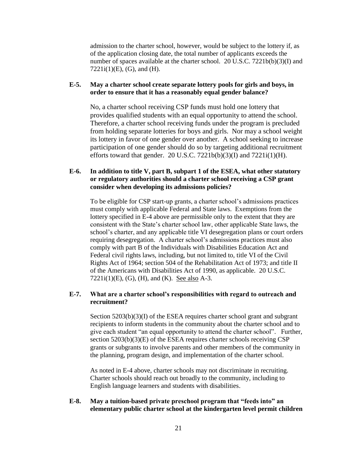admission to the charter school, however, would be subject to the lottery if, as of the application closing date, the total number of applicants exceeds the number of spaces available at the charter school. 20 U.S.C. 7221b(b)(3)(I) and  $7221i(1)(E)$ , (G), and (H).

#### <span id="page-20-0"></span>**E-5. May a charter school create separate lottery pools for girls and boys, in order to ensure that it has a reasonably equal gender balance?**

No, a charter school receiving CSP funds must hold one lottery that provides qualified students with an equal opportunity to attend the school. Therefore, a charter school receiving funds under the program is precluded from holding separate lotteries for boys and girls. Nor may a school weight its lottery in favor of one gender over another. A school seeking to increase participation of one gender should do so by targeting additional recruitment efforts toward that gender. 20 U.S.C.  $7221b(b)(3)(I)$  and  $7221i(1)(H)$ .

#### <span id="page-20-1"></span>**E-6. In addition to title V, part B, subpart 1 of the ESEA, what other statutory or regulatory authorities should a charter school receiving a CSP grant consider when developing its admissions policies?**

To be eligible for CSP start-up grants, a charter school's admissions practices must comply with applicable Federal and State laws. Exemptions from the lottery specified in E-4 above are permissible only to the extent that they are consistent with the State's charter school law, other applicable State laws, the school's charter, and any applicable title VI desegregation plans or court orders requiring desegregation. A charter school's admissions practices must also comply with part B of the Individuals with Disabilities Education Act and Federal civil rights laws, including, but not limited to, title VI of the Civil Rights Act of 1964; section 504 of the Rehabilitation Act of 1973; and title II of the Americans with Disabilities Act of 1990, as applicable. 20 U.S.C.  $7221i(1)$ (E), (G), (H), and (K). See also A-3.

#### <span id="page-20-2"></span>**E-7. What are a charter school's responsibilities with regard to outreach and recruitment?**

Section 5203(b)(3)(I) of the ESEA requires charter school grant and subgrant recipients to inform students in the community about the charter school and to give each student "an equal opportunity to attend the charter school". Further, section  $5203(b)(3)(E)$  of the ESEA requires charter schools receiving CSP grants or subgrants to involve parents and other members of the community in the planning, program design, and implementation of the charter school.

As noted in E-4 above, charter schools may not discriminate in recruiting. Charter schools should reach out broadly to the community, including to English language learners and students with disabilities.

#### <span id="page-20-3"></span>**E-8. May a tuition-based private preschool program that "feeds into" an elementary public charter school at the kindergarten level permit children**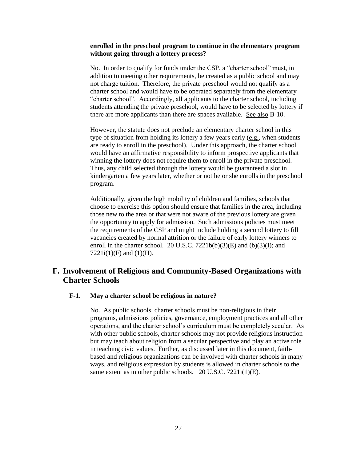#### **enrolled in the preschool program to continue in the elementary program without going through a lottery process?**

No. In order to qualify for funds under the CSP, a "charter school" must, in addition to meeting other requirements, be created as a public school and may not charge tuition. Therefore, the private preschool would not qualify as a charter school and would have to be operated separately from the elementary "charter school". Accordingly, all applicants to the charter school, including students attending the private preschool, would have to be selected by lottery if there are more applicants than there are spaces available. See also B-10.

However, the statute does not preclude an elementary charter school in this type of situation from holding its lottery a few years early (e.g., when students are ready to enroll in the preschool). Under this approach, the charter school would have an affirmative responsibility to inform prospective applicants that winning the lottery does not require them to enroll in the private preschool. Thus, any child selected through the lottery would be guaranteed a slot in kindergarten a few years later, whether or not he or she enrolls in the preschool program.

Additionally, given the high mobility of children and families, schools that choose to exercise this option should ensure that families in the area, including those new to the area or that were not aware of the previous lottery are given the opportunity to apply for admission. Such admissions policies must meet the requirements of the CSP and might include holding a second lottery to fill vacancies created by normal attrition or the failure of early lottery winners to enroll in the charter school. 20 U.S.C.  $7221b(b)(3)(E)$  and  $(b)(3)(I)$ ; and  $7221i(1)(F)$  and  $(1)(H)$ .

#### <span id="page-21-0"></span>**F. Involvement of Religious and Community-Based Organizations with Charter Schools**

#### <span id="page-21-1"></span>**F-1. May a charter school be religious in nature?**

No. As public schools, charter schools must be non-religious in their programs, admissions policies, governance, employment practices and all other operations, and the charter school's curriculum must be completely secular. As with other public schools, charter schools may not provide religious instruction but may teach about religion from a secular perspective and play an active role in teaching civic values. Further, as discussed later in this document, faithbased and religious organizations can be involved with charter schools in many ways, and religious expression by students is allowed in charter schools to the same extent as in other public schools.  $20$  U.S.C.  $7221i(1)(E)$ .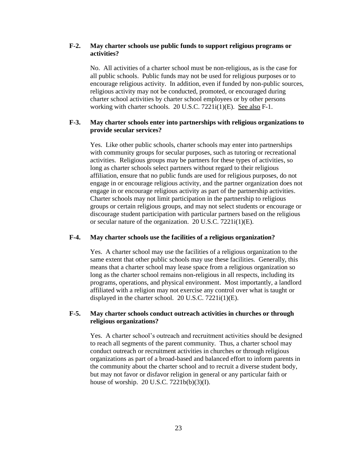#### <span id="page-22-0"></span>**F-2. May charter schools use public funds to support religious programs or activities?**

No. All activities of a charter school must be non-religious, as is the case for all public schools. Public funds may not be used for religious purposes or to encourage religious activity. In addition, even if funded by non-public sources, religious activity may not be conducted, promoted, or encouraged during charter school activities by charter school employees or by other persons working with charter schools. 20 U.S.C. 7221i(1)(E). See also F-1.

#### <span id="page-22-1"></span>**F-3. May charter schools enter into partnerships with religious organizations to provide secular services?**

Yes. Like other public schools, charter schools may enter into partnerships with community groups for secular purposes, such as tutoring or recreational activities. Religious groups may be partners for these types of activities, so long as charter schools select partners without regard to their religious affiliation, ensure that no public funds are used for religious purposes, do not engage in or encourage religious activity, and the partner organization does not engage in or encourage religious activity as part of the partnership activities. Charter schools may not limit participation in the partnership to religious groups or certain religious groups, and may not select students or encourage or discourage student participation with particular partners based on the religious or secular nature of the organization. 20 U.S.C. 7221i(1)(E).

#### <span id="page-22-2"></span>**F-4. May charter schools use the facilities of a religious organization?**

Yes. A charter school may use the facilities of a religious organization to the same extent that other public schools may use these facilities. Generally, this means that a charter school may lease space from a religious organization so long as the charter school remains non-religious in all respects, including its programs, operations, and physical environment. Most importantly, a landlord affiliated with a religion may not exercise any control over what is taught or displayed in the charter school. 20 U.S.C. 7221i(1)(E).

#### <span id="page-22-3"></span>**F-5. May charter schools conduct outreach activities in churches or through religious organizations?**

Yes. A charter school's outreach and recruitment activities should be designed to reach all segments of the parent community. Thus, a charter school may conduct outreach or recruitment activities in churches or through religious organizations as part of a broad-based and balanced effort to inform parents in the community about the charter school and to recruit a diverse student body, but may not favor or disfavor religion in general or any particular faith or house of worship.  $20$  U.S.C.  $7221b(b)(3)(I)$ .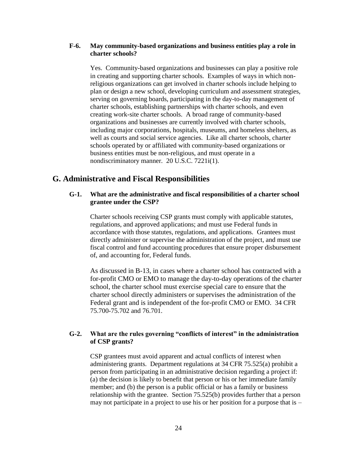#### <span id="page-23-0"></span>**F-6. May community-based organizations and business entities play a role in charter schools?**

Yes. Community-based organizations and businesses can play a positive role in creating and supporting charter schools. Examples of ways in which nonreligious organizations can get involved in charter schools include helping to plan or design a new school, developing curriculum and assessment strategies, serving on governing boards, participating in the day-to-day management of charter schools, establishing partnerships with charter schools, and even creating work-site charter schools. A broad range of community-based organizations and businesses are currently involved with charter schools, including major corporations, hospitals, museums, and homeless shelters, as well as courts and social service agencies. Like all charter schools, charter schools operated by or affiliated with community-based organizations or business entities must be non-religious, and must operate in a nondiscriminatory manner. 20 U.S.C. 7221i(1).

#### <span id="page-23-2"></span><span id="page-23-1"></span>**G. Administrative and Fiscal Responsibilities**

#### **G-1. What are the administrative and fiscal responsibilities of a charter school grantee under the CSP?**

Charter schools receiving CSP grants must comply with applicable statutes, regulations, and approved applications; and must use Federal funds in accordance with those statutes, regulations, and applications. Grantees must directly administer or supervise the administration of the project, and must use fiscal control and fund accounting procedures that ensure proper disbursement of, and accounting for, Federal funds.

As discussed in B-13, in cases where a charter school has contracted with a for-profit CMO or EMO to manage the day-to-day operations of the charter school, the charter school must exercise special care to ensure that the charter school directly administers or supervises the administration of the Federal grant and is independent of the for-profit CMO or EMO. 34 CFR 75.700-75.702 and 76.701.

#### <span id="page-23-3"></span>**G-2. What are the rules governing "conflicts of interest" in the administration of CSP grants?**

CSP grantees must avoid apparent and actual conflicts of interest when administering grants. Department regulations at 34 CFR 75.525(a) prohibit a person from participating in an administrative decision regarding a project if: (a) the decision is likely to benefit that person or his or her immediate family member; and (b) the person is a public official or has a family or business relationship with the grantee. Section 75.525(b) provides further that a person may not participate in a project to use his or her position for a purpose that is –